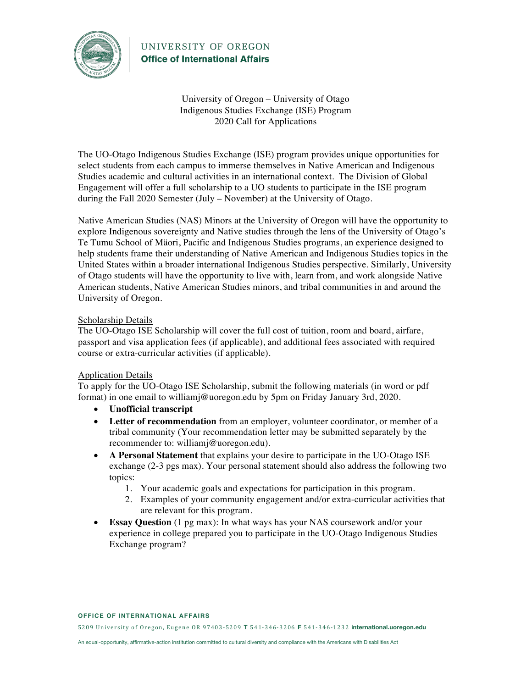

University of Oregon – University of Otago Indigenous Studies Exchange (ISE) Program 2020 Call for Applications

The UO-Otago Indigenous Studies Exchange (ISE) program provides unique opportunities for select students from each campus to immerse themselves in Native American and Indigenous Studies academic and cultural activities in an international context. The Division of Global Engagement will offer a full scholarship to a UO students to participate in the ISE program during the Fall 2020 Semester (July – November) at the University of Otago.

Native American Studies (NAS) Minors at the University of Oregon will have the opportunity to explore Indigenous sovereignty and Native studies through the lens of the University of Otago's Te Tumu School of Mäori, Pacific and Indigenous Studies programs, an experience designed to help students frame their understanding of Native American and Indigenous Studies topics in the United States within a broader international Indigenous Studies perspective. Similarly, University of Otago students will have the opportunity to live with, learn from, and work alongside Native American students, Native American Studies minors, and tribal communities in and around the University of Oregon.

#### Scholarship Details

The UO-Otago ISE Scholarship will cover the full cost of tuition, room and board, airfare, passport and visa application fees (if applicable), and additional fees associated with required course or extra-curricular activities (if applicable).

#### Application Details

To apply for the UO-Otago ISE Scholarship, submit the following materials (in word or pdf format) in one email to williamj@uoregon.edu by 5pm on Friday January 3rd, 2020.

- **Unofficial transcript**
- **Letter of recommendation** from an employer, volunteer coordinator, or member of a tribal community (Your recommendation letter may be submitted separately by the recommender to: williamj@uoregon.edu).
- **A Personal Statement** that explains your desire to participate in the UO-Otago ISE exchange (2-3 pgs max). Your personal statement should also address the following two topics:
	- 1. Your academic goals and expectations for participation in this program.
	- 2. Examples of your community engagement and/or extra-curricular activities that are relevant for this program.
- **Essay Question** (1 pg max): In what ways has your NAS coursework and/or your experience in college prepared you to participate in the UO-Otago Indigenous Studies Exchange program?

#### **OFFICE OF INTERNATIONAL AFFAIRS**

5209 University of Oregon, Eugene OR 97403-5209 **T** 541-346-3206 **F** 541-346-1232 **international.uoregon.edu**